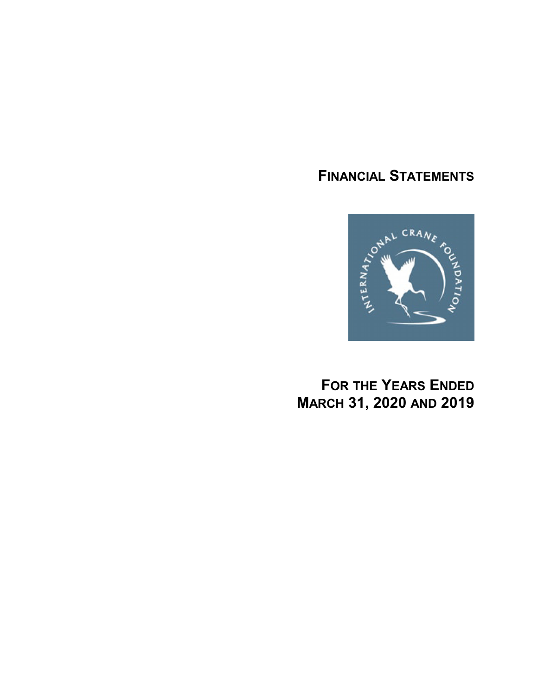# **FINANCIAL STATEMENTS**



**FOR THE YEARS ENDED MARCH 31, 2020 AND 2019**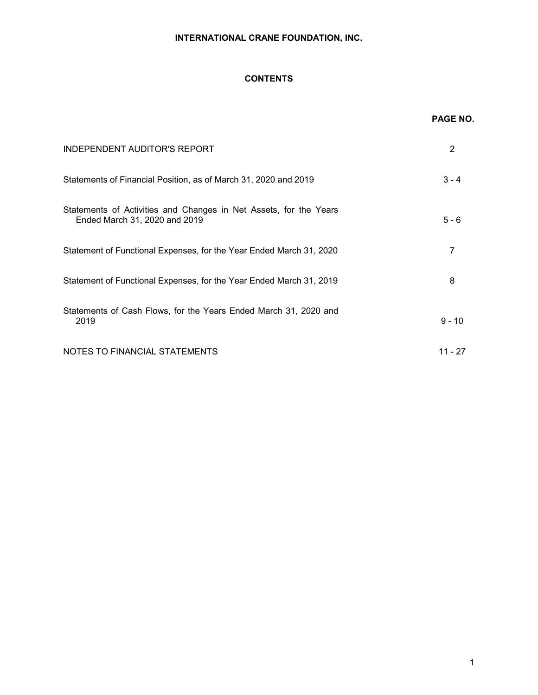# **CONTENTS**

|                                                                                                    | PAGE NO.  |
|----------------------------------------------------------------------------------------------------|-----------|
| <b>INDEPENDENT AUDITOR'S REPORT</b>                                                                | 2         |
| Statements of Financial Position, as of March 31, 2020 and 2019                                    | $3 - 4$   |
| Statements of Activities and Changes in Net Assets, for the Years<br>Ended March 31, 2020 and 2019 | $5 - 6$   |
| Statement of Functional Expenses, for the Year Ended March 31, 2020                                | 7         |
| Statement of Functional Expenses, for the Year Ended March 31, 2019                                | 8         |
| Statements of Cash Flows, for the Years Ended March 31, 2020 and<br>2019                           | $9 - 10$  |
| NOTES TO FINANCIAL STATEMENTS                                                                      | $11 - 27$ |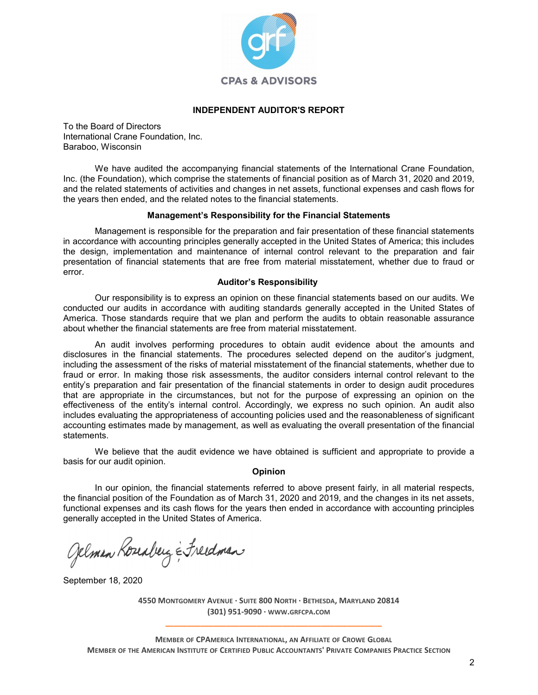

## **INDEPENDENT AUDITOR'S REPORT**

To the Board of Directors International Crane Foundation, Inc. Baraboo, Wisconsin

We have audited the accompanying financial statements of the International Crane Foundation, Inc. (the Foundation), which comprise the statements of financial position as of March 31, 2020 and 2019, and the related statements of activities and changes in net assets, functional expenses and cash flows for the years then ended, and the related notes to the financial statements.

#### **Management's Responsibility for the Financial Statements**

Management is responsible for the preparation and fair presentation of these financial statements in accordance with accounting principles generally accepted in the United States of America; this includes the design, implementation and maintenance of internal control relevant to the preparation and fair presentation of financial statements that are free from material misstatement, whether due to fraud or error.

## **Auditor's Responsibility**

Our responsibility is to express an opinion on these financial statements based on our audits. We conducted our audits in accordance with auditing standards generally accepted in the United States of America. Those standards require that we plan and perform the audits to obtain reasonable assurance about whether the financial statements are free from material misstatement.

An audit involves performing procedures to obtain audit evidence about the amounts and disclosures in the financial statements. The procedures selected depend on the auditor's judgment, including the assessment of the risks of material misstatement of the financial statements, whether due to fraud or error. In making those risk assessments, the auditor considers internal control relevant to the entity's preparation and fair presentation of the financial statements in order to design audit procedures that are appropriate in the circumstances, but not for the purpose of expressing an opinion on the effectiveness of the entity's internal control. Accordingly, we express no such opinion. An audit also includes evaluating the appropriateness of accounting policies used and the reasonableness of significant accounting estimates made by management, as well as evaluating the overall presentation of the financial statements.

We believe that the audit evidence we have obtained is sufficient and appropriate to provide a basis for our audit opinion.

#### **Opinion**

In our opinion, the financial statements referred to above present fairly, in all material respects, the financial position of the Foundation as of March 31, 2020 and 2019, and the changes in its net assets, functional expenses and its cash flows for the years then ended in accordance with accounting principles generally accepted in the United States of America.

Gelman Koreaberg & Freedman

September 18, 2020

**4550 MONTGOMERY AVENUE · SUITE 800 NORTH · BETHESDA, MARYLAND 20814 (301) 951-9090 · WWW.GRFCPA.COM \_\_\_\_\_\_\_\_\_\_\_\_\_\_\_\_\_\_\_\_\_\_\_\_\_\_\_\_\_\_\_\_\_\_\_\_\_\_\_\_\_\_\_\_\_\_\_\_\_\_**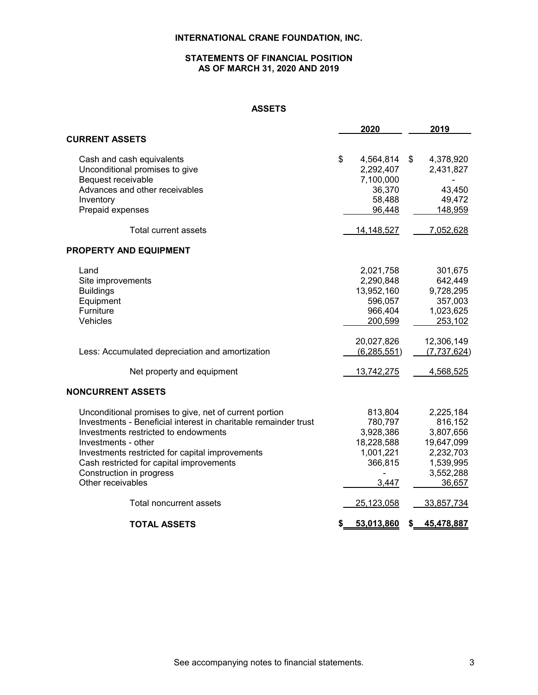## **STATEMENTS OF FINANCIAL POSITION AS OF MARCH 31, 2020 AND 2019**

# **ASSETS**

|                                                                 | 2020              | 2019             |
|-----------------------------------------------------------------|-------------------|------------------|
| <b>CURRENT ASSETS</b>                                           |                   |                  |
| Cash and cash equivalents                                       | \$<br>4,564,814   | \$<br>4,378,920  |
| Unconditional promises to give                                  | 2,292,407         | 2,431,827        |
| Bequest receivable                                              | 7,100,000         |                  |
| Advances and other receivables                                  | 36,370            | 43,450           |
| Inventory                                                       | 58,488            | 49,472           |
| Prepaid expenses                                                | 96,448            | 148,959          |
| <b>Total current assets</b>                                     | <u>14,148,527</u> | 7,052,628        |
| <b>PROPERTY AND EQUIPMENT</b>                                   |                   |                  |
| Land                                                            | 2,021,758         | 301,675          |
| Site improvements                                               | 2,290,848         | 642,449          |
| <b>Buildings</b>                                                | 13,952,160        | 9,728,295        |
| Equipment                                                       | 596,057           | 357,003          |
| Furniture                                                       | 966,404           | 1,023,625        |
| Vehicles                                                        | 200,599           | 253,102          |
|                                                                 | 20,027,826        | 12,306,149       |
| Less: Accumulated depreciation and amortization                 | (6, 285, 551)     | (7,737,624)      |
| Net property and equipment                                      | 13,742,275        | 4,568,525        |
| <b>NONCURRENT ASSETS</b>                                        |                   |                  |
| Unconditional promises to give, net of current portion          | 813,804           | 2,225,184        |
| Investments - Beneficial interest in charitable remainder trust | 780,797           | 816,152          |
| Investments restricted to endowments                            | 3,928,386         | 3,807,656        |
| Investments - other                                             | 18,228,588        | 19,647,099       |
| Investments restricted for capital improvements                 | 1,001,221         | 2,232,703        |
| Cash restricted for capital improvements                        | 366,815           | 1,539,995        |
| Construction in progress                                        |                   | 3,552,288        |
| Other receivables                                               | 3,447             | 36,657           |
| Total noncurrent assets                                         | 25,123,058        | 33,857,734       |
| <b>TOTAL ASSETS</b>                                             | \$<br>53,013,860  | \$<br>45,478,887 |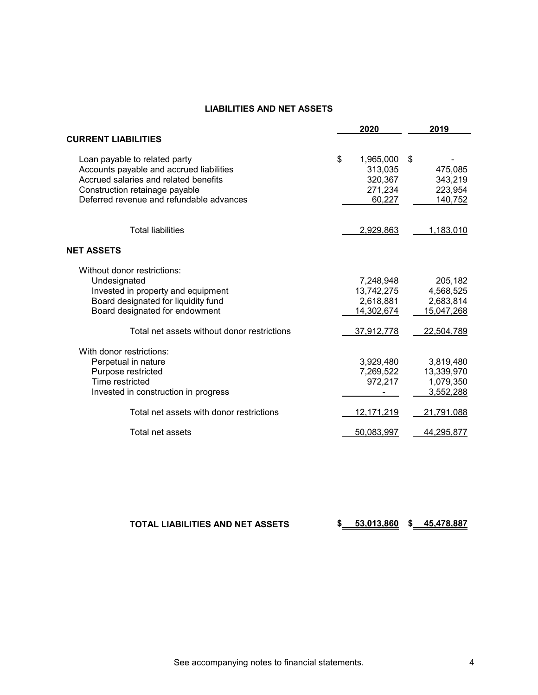# **LIABILITIES AND NET ASSETS**

|                                             | 2020            | 2019       |
|---------------------------------------------|-----------------|------------|
| <b>CURRENT LIABILITIES</b>                  |                 |            |
| Loan payable to related party               | \$<br>1,965,000 | \$         |
| Accounts payable and accrued liabilities    | 313,035         | 475,085    |
| Accrued salaries and related benefits       | 320,367         | 343,219    |
| Construction retainage payable              | 271,234         | 223,954    |
| Deferred revenue and refundable advances    | 60,227          | 140,752    |
| <b>Total liabilities</b>                    | 2,929,863       | 1,183,010  |
| <b>NET ASSETS</b>                           |                 |            |
| Without donor restrictions:                 |                 |            |
| Undesignated                                | 7,248,948       | 205,182    |
| Invested in property and equipment          | 13,742,275      | 4,568,525  |
| Board designated for liquidity fund         | 2,618,881       | 2,683,814  |
| Board designated for endowment              | 14,302,674      | 15,047,268 |
| Total net assets without donor restrictions | 37,912,778      | 22,504,789 |
| With donor restrictions:                    |                 |            |
| Perpetual in nature                         | 3,929,480       | 3,819,480  |
| Purpose restricted                          | 7,269,522       | 13,339,970 |
| Time restricted                             | 972,217         | 1,079,350  |
| Invested in construction in progress        |                 | 3,552,288  |
| Total net assets with donor restrictions    | 12, 171, 219    | 21,791,088 |
| Total net assets                            | 50,083,997      | 44,295,877 |

| TOTAL LIABILITIES AND NET ASSETS |  | 53,013,860 |  | 45.478.887 |
|----------------------------------|--|------------|--|------------|
|----------------------------------|--|------------|--|------------|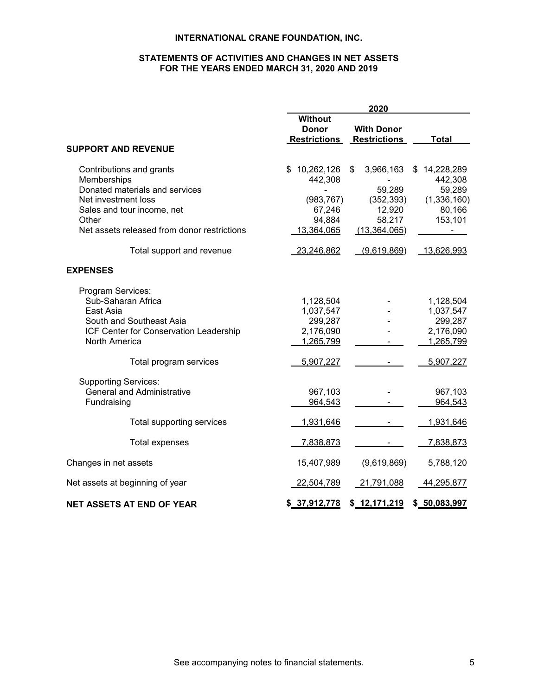# **STATEMENTS OF ACTIVITIES AND CHANGES IN NET ASSETS FOR THE YEARS ENDED MARCH 31, 2020 AND 2019**

|                                             | 2020                |                     |                |  |  |  |
|---------------------------------------------|---------------------|---------------------|----------------|--|--|--|
|                                             | <b>Without</b>      |                     |                |  |  |  |
|                                             | <b>Donor</b>        | <b>With Donor</b>   |                |  |  |  |
|                                             | <b>Restrictions</b> | <b>Restrictions</b> | <b>Total</b>   |  |  |  |
| <b>SUPPORT AND REVENUE</b>                  |                     |                     |                |  |  |  |
| Contributions and grants                    | 10,262,126<br>\$.   | \$<br>3,966,163     | \$14,228,289   |  |  |  |
| Memberships                                 | 442,308             |                     | 442,308        |  |  |  |
| Donated materials and services              |                     | 59,289              | 59,289         |  |  |  |
| Net investment loss                         | (983, 767)          | (352, 393)          | (1,336,160)    |  |  |  |
| Sales and tour income, net                  | 67,246              | 12,920              | 80,166         |  |  |  |
| Other                                       | 94,884              | 58,217              | 153,101        |  |  |  |
| Net assets released from donor restrictions | 13,364,065          | (13,364,065)        | $\blacksquare$ |  |  |  |
| Total support and revenue                   | 23,246,862          | (9,619,869)         | 13,626,993     |  |  |  |
| <b>EXPENSES</b>                             |                     |                     |                |  |  |  |
| Program Services:                           |                     |                     |                |  |  |  |
| Sub-Saharan Africa                          | 1,128,504           |                     | 1,128,504      |  |  |  |
| East Asia                                   | 1,037,547           |                     | 1,037,547      |  |  |  |
| South and Southeast Asia                    | 299,287             |                     | 299,287        |  |  |  |
| ICF Center for Conservation Leadership      | 2,176,090           |                     | 2,176,090      |  |  |  |
| North America                               | 1,265,799           |                     | 1,265,799      |  |  |  |
| Total program services                      | 5,907,227           |                     | 5,907,227      |  |  |  |
| <b>Supporting Services:</b>                 |                     |                     |                |  |  |  |
| <b>General and Administrative</b>           | 967,103             |                     | 967,103        |  |  |  |
| Fundraising                                 | 964,543             |                     | 964,543        |  |  |  |
|                                             |                     |                     |                |  |  |  |
| Total supporting services                   | 1,931,646           |                     | 1,931,646      |  |  |  |
| <b>Total expenses</b>                       | 7,838,873           |                     | 7,838,873      |  |  |  |
| Changes in net assets                       | 15,407,989          | (9,619,869)         | 5,788,120      |  |  |  |
| Net assets at beginning of year             | 22,504,789          | 21,791,088          | 44,295,877     |  |  |  |
| <b>NET ASSETS AT END OF YEAR</b>            | \$37,912,778        | \$12,171,219        | \$50,083,997   |  |  |  |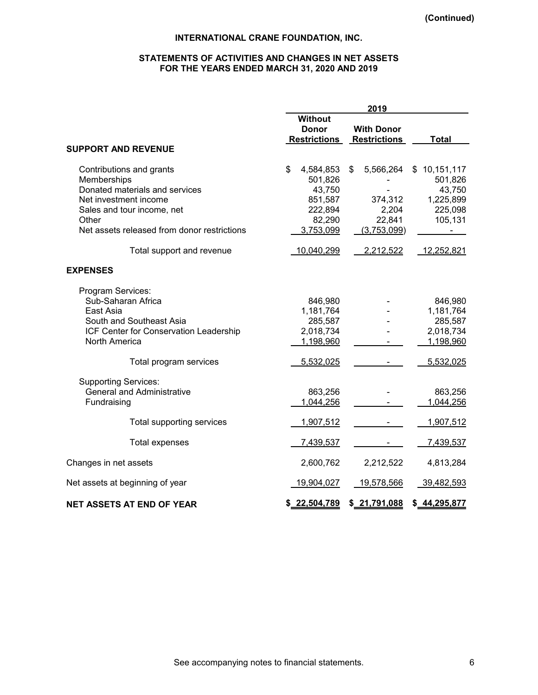## **STATEMENTS OF ACTIVITIES AND CHANGES IN NET ASSETS FOR THE YEARS ENDED MARCH 31, 2020 AND 2019**

|                                                                                                                                                                                                                       |                                                                                                 | 2019                                                                      |                                                                                                                    |
|-----------------------------------------------------------------------------------------------------------------------------------------------------------------------------------------------------------------------|-------------------------------------------------------------------------------------------------|---------------------------------------------------------------------------|--------------------------------------------------------------------------------------------------------------------|
|                                                                                                                                                                                                                       | <b>Without</b><br><b>Donor</b><br><b>Restrictions</b>                                           | <b>With Donor</b><br><b>Restrictions</b>                                  | <b>Total</b>                                                                                                       |
| <b>SUPPORT AND REVENUE</b>                                                                                                                                                                                            |                                                                                                 |                                                                           |                                                                                                                    |
| Contributions and grants<br>Memberships<br>Donated materials and services<br>Net investment income<br>Sales and tour income, net<br>Other<br>Net assets released from donor restrictions<br>Total support and revenue | \$<br>4,584,853<br>501,826<br>43,750<br>851,587<br>222,894<br>82,290<br>3,753,099<br>10,040,299 | 5,566,264<br>\$<br>374,312<br>2,204<br>22,841<br>(3,753,099)<br>2,212,522 | \$<br>10,151,117<br>501,826<br>43,750<br>1,225,899<br>225,098<br>105,131<br>$\overline{\phantom{0}}$<br>12,252,821 |
|                                                                                                                                                                                                                       |                                                                                                 |                                                                           |                                                                                                                    |
| <b>EXPENSES</b>                                                                                                                                                                                                       |                                                                                                 |                                                                           |                                                                                                                    |
| Program Services:<br>Sub-Saharan Africa<br>East Asia<br>South and Southeast Asia<br>ICF Center for Conservation Leadership<br>North America                                                                           | 846,980<br>1,181,764<br>285,587<br>2,018,734<br>1,198,960                                       |                                                                           | 846,980<br>1,181,764<br>285,587<br>2,018,734<br>1,198,960                                                          |
| Total program services                                                                                                                                                                                                | 5,532,025                                                                                       |                                                                           | 5,532,025                                                                                                          |
| <b>Supporting Services:</b><br><b>General and Administrative</b><br>Fundraising                                                                                                                                       | 863,256<br>1,044,256                                                                            |                                                                           | 863,256<br>1,044,256                                                                                               |
| Total supporting services                                                                                                                                                                                             | 1,907,512                                                                                       |                                                                           | 1,907,512                                                                                                          |
| <b>Total expenses</b>                                                                                                                                                                                                 | 7,439,537                                                                                       |                                                                           | 7,439,537                                                                                                          |
| Changes in net assets                                                                                                                                                                                                 | 2,600,762                                                                                       | 2,212,522                                                                 | 4,813,284                                                                                                          |
| Net assets at beginning of year                                                                                                                                                                                       | 19,904,027                                                                                      | 19,578,566                                                                | 39,482,593                                                                                                         |
| <b>NET ASSETS AT END OF YEAR</b>                                                                                                                                                                                      | \$22,504,789                                                                                    | \$21,791,088                                                              | \$44,295,877                                                                                                       |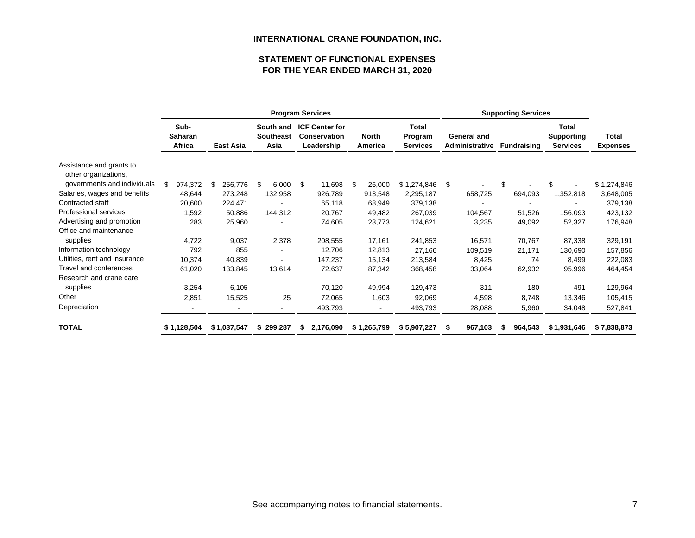# **STATEMENT OF FUNCTIONAL EXPENSESFOR THE YEAR ENDED MARCH 31, 2020**

|                                                  |                           |                | <b>Program Services</b>               | <b>Supporting Services</b>                                 |                         |                                            |                                             |                    |                                               |                                 |
|--------------------------------------------------|---------------------------|----------------|---------------------------------------|------------------------------------------------------------|-------------------------|--------------------------------------------|---------------------------------------------|--------------------|-----------------------------------------------|---------------------------------|
|                                                  | Sub-<br>Saharan<br>Africa | East Asia      | South and<br><b>Southeast</b><br>Asia | <b>ICF Center for</b><br><b>Conservation</b><br>Leadership | <b>North</b><br>America | <b>Total</b><br>Program<br><b>Services</b> | <b>General and</b><br><b>Administrative</b> | <b>Fundraising</b> | Total<br><b>Supporting</b><br><b>Services</b> | <b>Total</b><br><b>Expenses</b> |
| Assistance and grants to<br>other organizations, |                           |                |                                       |                                                            |                         |                                            |                                             |                    |                                               |                                 |
| governments and individuals                      | \$<br>974,372             | 256,776<br>S   | \$<br>6,000                           | 11,698<br>-\$                                              | \$<br>26,000            | \$1,274,846                                | \$                                          | \$                 |                                               | \$1,274,846                     |
| Salaries, wages and benefits                     | 48,644                    | 273,248        | 132,958                               | 926,789                                                    | 913,548                 | 2,295,187                                  | 658,725                                     | 694,093            | 1,352,818                                     | 3,648,005                       |
| Contracted staff                                 | 20,600                    | 224,471        |                                       | 65,118                                                     | 68,949                  | 379,138                                    |                                             |                    |                                               | 379,138                         |
| Professional services                            | 1,592                     | 50,886         | 144,312                               | 20,767                                                     | 49,482                  | 267,039                                    | 104,567                                     | 51,526             | 156,093                                       | 423,132                         |
| Advertising and promotion                        | 283                       | 25,960         |                                       | 74,605                                                     | 23,773                  | 124,621                                    | 3,235                                       | 49,092             | 52,327                                        | 176,948                         |
| Office and maintenance                           |                           |                |                                       |                                                            |                         |                                            |                                             |                    |                                               |                                 |
| supplies                                         | 4,722                     | 9,037          | 2,378                                 | 208,555                                                    | 17,161                  | 241,853                                    | 16,571                                      | 70,767             | 87,338                                        | 329,191                         |
| Information technology                           | 792                       | 855            |                                       | 12,706                                                     | 12,813                  | 27,166                                     | 109,519                                     | 21,171             | 130,690                                       | 157,856                         |
| Utilities, rent and insurance                    | 10,374                    | 40,839         |                                       | 147,237                                                    | 15,134                  | 213,584                                    | 8,425                                       | 74                 | 8,499                                         | 222,083                         |
| Travel and conferences                           | 61,020                    | 133,845        | 13,614                                | 72,637                                                     | 87,342                  | 368,458                                    | 33,064                                      | 62,932             | 95,996                                        | 464,454                         |
| Research and crane care                          |                           |                |                                       |                                                            |                         |                                            |                                             |                    |                                               |                                 |
| supplies                                         | 3,254                     | 6,105          |                                       | 70,120                                                     | 49,994                  | 129,473                                    | 311                                         | 180                | 491                                           | 129,964                         |
| Other                                            | 2,851                     | 15,525         | 25                                    | 72,065                                                     | 1,603                   | 92,069                                     | 4,598                                       | 8,748              | 13,346                                        | 105,415                         |
| Depreciation                                     |                           | $\blacksquare$ |                                       | 493,793                                                    |                         | 493,793                                    | 28,088                                      | 5,960              | 34,048                                        | 527,841                         |
| <b>TOTAL</b>                                     | \$1,128,504               | \$1,037,547    | \$299,287                             | 2,176,090<br>S                                             | \$1,265,799             | \$5,907,227                                | 967,103                                     | 964,543            | \$1,931,646                                   | \$7,838,873                     |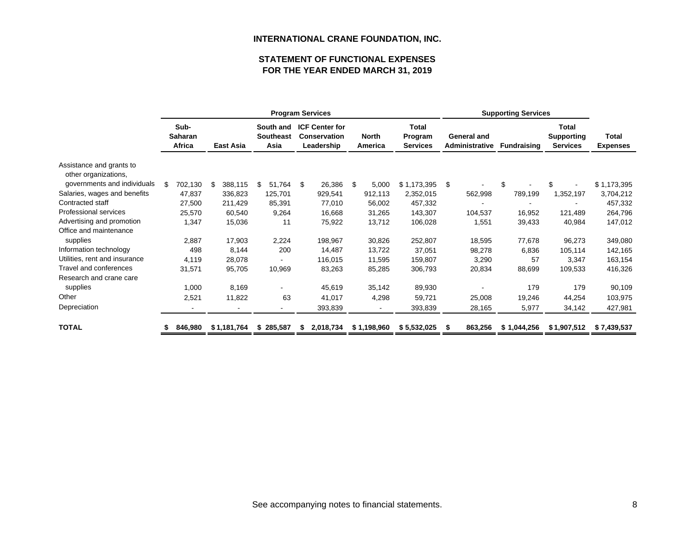# **FOR THE YEAR ENDED MARCH 31, 2019 STATEMENT OF FUNCTIONAL EXPENSES**

|                                                  | <b>Program Services</b> |                                  |    |             |    |                                       |     |                                                            |                         |                                            |    |                               |    |                    |                                               |                          |
|--------------------------------------------------|-------------------------|----------------------------------|----|-------------|----|---------------------------------------|-----|------------------------------------------------------------|-------------------------|--------------------------------------------|----|-------------------------------|----|--------------------|-----------------------------------------------|--------------------------|
|                                                  |                         | Sub-<br><b>Saharan</b><br>Africa |    | East Asia   |    | South and<br><b>Southeast</b><br>Asia |     | <b>ICF Center for</b><br><b>Conservation</b><br>Leadership | <b>North</b><br>America | <b>Total</b><br>Program<br><b>Services</b> |    | General and<br>Administrative |    | <b>Fundraising</b> | Total<br><b>Supporting</b><br><b>Services</b> | Total<br><b>Expenses</b> |
| Assistance and grants to<br>other organizations, |                         |                                  |    |             |    |                                       |     |                                                            |                         |                                            |    |                               |    |                    |                                               |                          |
| governments and individuals                      | S                       | 702,130                          | \$ | 388,115     | \$ | 51,764                                | -\$ | 26,386                                                     | \$<br>5,000             | \$1,173,395                                | \$ |                               | \$ |                    |                                               | \$1,173,395              |
| Salaries, wages and benefits                     |                         | 47,837                           |    | 336,823     |    | 125,701                               |     | 929,541                                                    | 912,113                 | 2,352,015                                  |    | 562,998                       |    | 789,199            | 1,352,197                                     | 3,704,212                |
| Contracted staff                                 |                         | 27,500                           |    | 211,429     |    | 85,391                                |     | 77,010                                                     | 56,002                  | 457,332                                    |    |                               |    |                    |                                               | 457,332                  |
| Professional services                            |                         | 25,570                           |    | 60,540      |    | 9,264                                 |     | 16,668                                                     | 31,265                  | 143,307                                    |    | 104,537                       |    | 16,952             | 121,489                                       | 264,796                  |
| Advertising and promotion                        |                         | 1,347                            |    | 15,036      |    | 11                                    |     | 75,922                                                     | 13,712                  | 106,028                                    |    | 1,551                         |    | 39,433             | 40,984                                        | 147,012                  |
| Office and maintenance                           |                         |                                  |    |             |    |                                       |     |                                                            |                         |                                            |    |                               |    |                    |                                               |                          |
| supplies                                         |                         | 2,887                            |    | 17,903      |    | 2,224                                 |     | 198,967                                                    | 30,826                  | 252,807                                    |    | 18,595                        |    | 77,678             | 96,273                                        | 349,080                  |
| Information technology                           |                         | 498                              |    | 8,144       |    | 200                                   |     | 14,487                                                     | 13,722                  | 37,051                                     |    | 98,278                        |    | 6,836              | 105,114                                       | 142,165                  |
| Utilities, rent and insurance                    |                         | 4,119                            |    | 28,078      |    |                                       |     | 116,015                                                    | 11,595                  | 159,807                                    |    | 3,290                         |    | 57                 | 3,347                                         | 163,154                  |
| Travel and conferences                           |                         | 31,571                           |    | 95,705      |    | 10,969                                |     | 83,263                                                     | 85,285                  | 306,793                                    |    | 20,834                        |    | 88,699             | 109,533                                       | 416,326                  |
| Research and crane care                          |                         |                                  |    |             |    |                                       |     |                                                            |                         |                                            |    |                               |    |                    |                                               |                          |
| supplies                                         |                         | 1,000                            |    | 8,169       |    | ۰                                     |     | 45,619                                                     | 35,142                  | 89,930                                     |    |                               |    | 179                | 179                                           | 90,109                   |
| Other                                            |                         | 2,521                            |    | 11,822      |    | 63                                    |     | 41,017                                                     | 4,298                   | 59,721                                     |    | 25,008                        |    | 19,246             | 44,254                                        | 103,975                  |
| Depreciation                                     |                         |                                  |    |             |    | ۰                                     |     | 393,839                                                    |                         | 393,839                                    |    | 28,165                        |    | 5,977              | 34,142                                        | 427,981                  |
| <b>TOTAL</b>                                     |                         | 846,980                          |    | \$1,181,764 |    | \$285,587                             | S   | 2,018,734                                                  | \$1,198,960             | \$5,532,025                                |    | 863,256                       |    | \$1,044,256        | \$1,907,512                                   | \$7,439,537              |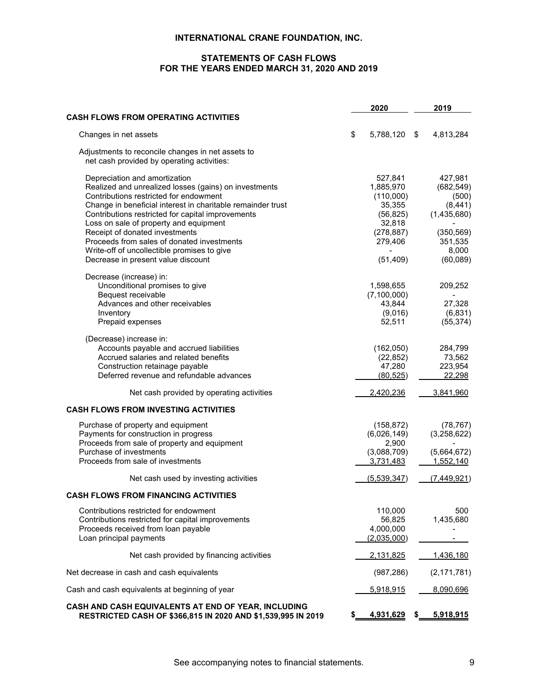# **STATEMENTS OF CASH FLOWS FOR THE YEARS ENDED MARCH 31, 2020 AND 2019**

|                                                                                                                                                                                                                                                                                                                                                                                                                               |     | 2020                                                                                        | 2019                                                                                        |
|-------------------------------------------------------------------------------------------------------------------------------------------------------------------------------------------------------------------------------------------------------------------------------------------------------------------------------------------------------------------------------------------------------------------------------|-----|---------------------------------------------------------------------------------------------|---------------------------------------------------------------------------------------------|
| <b>CASH FLOWS FROM OPERATING ACTIVITIES</b>                                                                                                                                                                                                                                                                                                                                                                                   |     |                                                                                             |                                                                                             |
| Changes in net assets                                                                                                                                                                                                                                                                                                                                                                                                         | \$  | 5,788,120                                                                                   | \$<br>4,813,284                                                                             |
| Adjustments to reconcile changes in net assets to<br>net cash provided by operating activities:                                                                                                                                                                                                                                                                                                                               |     |                                                                                             |                                                                                             |
| Depreciation and amortization<br>Realized and unrealized losses (gains) on investments<br>Contributions restricted for endowment<br>Change in beneficial interest in charitable remainder trust<br>Contributions restricted for capital improvements<br>Loss on sale of property and equipment<br>Receipt of donated investments<br>Proceeds from sales of donated investments<br>Write-off of uncollectible promises to give |     | 527,841<br>1,885,970<br>(110,000)<br>35,355<br>(56, 825)<br>32,818<br>(278, 887)<br>279,406 | 427,981<br>(682, 549)<br>(500)<br>(8, 441)<br>(1,435,680)<br>(350, 569)<br>351,535<br>8,000 |
| Decrease in present value discount                                                                                                                                                                                                                                                                                                                                                                                            |     | (51, 409)                                                                                   | (60, 089)                                                                                   |
| Decrease (increase) in:<br>Unconditional promises to give<br>Bequest receivable<br>Advances and other receivables<br>Inventory<br>Prepaid expenses                                                                                                                                                                                                                                                                            |     | 1,598,655<br>(7, 100, 000)<br>43,844<br>(9,016)<br>52,511                                   | 209,252<br>27,328<br>(6, 831)<br>(55, 374)                                                  |
| (Decrease) increase in:<br>Accounts payable and accrued liabilities<br>Accrued salaries and related benefits<br>Construction retainage payable<br>Deferred revenue and refundable advances                                                                                                                                                                                                                                    |     | (162,050)<br>(22, 852)<br>47,280<br>(80, 525)                                               | 284,799<br>73,562<br>223,954<br>22,298                                                      |
| Net cash provided by operating activities                                                                                                                                                                                                                                                                                                                                                                                     |     | 2,420,236                                                                                   | 3,841,960                                                                                   |
| <b>CASH FLOWS FROM INVESTING ACTIVITIES</b>                                                                                                                                                                                                                                                                                                                                                                                   |     |                                                                                             |                                                                                             |
| Purchase of property and equipment<br>Payments for construction in progress<br>Proceeds from sale of property and equipment<br>Purchase of investments<br>Proceeds from sale of investments                                                                                                                                                                                                                                   |     | (158, 872)<br>(6,026,149)<br>2,900<br>(3,088,709)<br>3,731,483                              | (78, 767)<br>(3,258,622)<br>(5,664,672)<br>1,552,140                                        |
| Net cash used by investing activities                                                                                                                                                                                                                                                                                                                                                                                         |     | (5, 539, 347)                                                                               | (7,449,921)                                                                                 |
| <b>CASH FLOWS FROM FINANCING ACTIVITIES</b>                                                                                                                                                                                                                                                                                                                                                                                   |     |                                                                                             |                                                                                             |
| Contributions restricted for endowment<br>Contributions restricted for capital improvements<br>Proceeds received from loan payable<br>Loan principal payments                                                                                                                                                                                                                                                                 |     | 110,000<br>56,825<br>4,000,000<br>(2,035,000)                                               | 500<br>1,435,680                                                                            |
| Net cash provided by financing activities                                                                                                                                                                                                                                                                                                                                                                                     |     | 2,131,825                                                                                   | 1,436,180                                                                                   |
| Net decrease in cash and cash equivalents                                                                                                                                                                                                                                                                                                                                                                                     |     | (987, 286)                                                                                  | (2, 171, 781)                                                                               |
| Cash and cash equivalents at beginning of year                                                                                                                                                                                                                                                                                                                                                                                |     | 5,918,915                                                                                   | 8,090,696                                                                                   |
| CASH AND CASH EQUIVALENTS AT END OF YEAR, INCLUDING<br>RESTRICTED CASH OF \$366,815 IN 2020 AND \$1,539,995 IN 2019                                                                                                                                                                                                                                                                                                           | \$. | 4,931,629                                                                                   | \$<br>5,918,915                                                                             |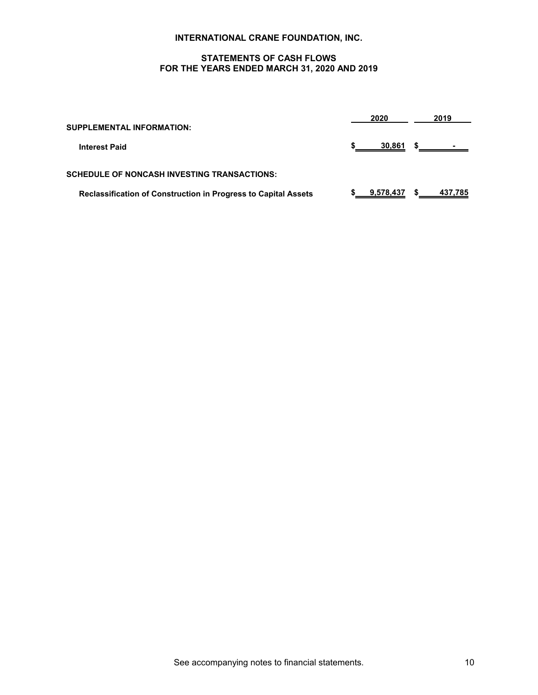## **STATEMENTS OF CASH FLOWS FOR THE YEARS ENDED MARCH 31, 2020 AND 2019**

| <b>SUPPLEMENTAL INFORMATION:</b>                                      |  | 2020      |    | 2019     |
|-----------------------------------------------------------------------|--|-----------|----|----------|
| <b>Interest Paid</b>                                                  |  | 30,861    | 55 | المستقبل |
| <b>SCHEDULE OF NONCASH INVESTING TRANSACTIONS:</b>                    |  |           |    |          |
| <b>Reclassification of Construction in Progress to Capital Assets</b> |  | 9,578,437 |    | 437,785  |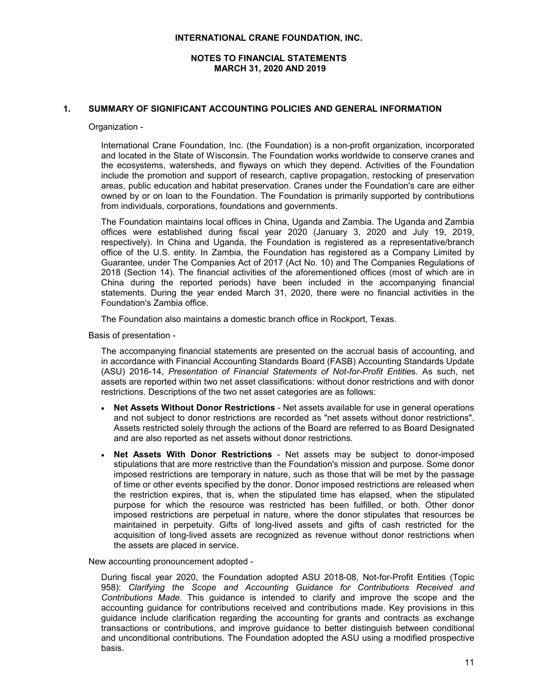## **NOTES TO FINANCIAL STATEMENTS MARCH 31, 2020 AND 2019**

## **1. SUMMARY OF SIGNIFICANT ACCOUNTING POLICIES AND GENERAL INFORMATION**

Organization -

International Crane Foundation, Inc. (the Foundation) is a non-profit organization, incorporated and located in the State of Wisconsin. The Foundation works worldwide to conserve cranes and the ecosystems, watersheds, and flyways on which they depend. Activities of the Foundation include the promotion and support of research, captive propagation, restocking of preservation areas, public education and habitat preservation. Cranes under the Foundation's care are either owned by or on loan to the Foundation. The Foundation is primarily supported by contributions from individuals, corporations, foundations and governments.

The Foundation maintains local offices in China, Uganda and Zambia. The Uganda and Zambia offices were established during fiscal year 2020 (January 3, 2020 and July 19, 2019, respectively). In China and Uganda, the Foundation is registered as a representative/branch office of the U.S. entity. In Zambia, the Foundation has registered as a Company Limited by Guarantee, under The Companies Act of 2017 (Act No. 10) and The Companies Regulations of 2018 (Section 14). The financial activities of the aforementioned offices (most of which are in China during the reported periods) have been included in the accompanying financial statements. During the year ended March 31, 2020, there were no financial activities in the Foundation's Zambia office.

The Foundation also maintains a domestic branch office in Rockport, Texas.

Basis of presentation -

The accompanying financial statements are presented on the accrual basis of accounting, and in accordance with Financial Accounting Standards Board (FASB) Accounting Standards Update (ASU) 2016-14, *Presentation of Financial Statements of Not-for-Profit Entitie*s. As such, net assets are reported within two net asset classifications: without donor restrictions and with donor restrictions. Descriptions of the two net asset categories are as follows:

- **Net Assets Without Donor Restrictions** Net assets available for use in general operations and not subject to donor restrictions are recorded as "net assets without donor restrictions". Assets restricted solely through the actions of the Board are referred to as Board Designated and are also reported as net assets without donor restrictions.
- **Net Assets With Donor Restrictions** Net assets may be subject to donor-imposed stipulations that are more restrictive than the Foundation's mission and purpose. Some donor imposed restrictions are temporary in nature, such as those that will be met by the passage of time or other events specified by the donor. Donor imposed restrictions are released when the restriction expires, that is, when the stipulated time has elapsed, when the stipulated purpose for which the resource was restricted has been fulfilled, or both. Other donor imposed restrictions are perpetual in nature, where the donor stipulates that resources be maintained in perpetuity. Gifts of long-lived assets and gifts of cash restricted for the acquisition of long-lived assets are recognized as revenue without donor restrictions when the assets are placed in service.

New accounting pronouncement adopted -

During fiscal year 2020, the Foundation adopted ASU 2018-08, Not-for-Profit Entities (Topic 958): *Clarifying the Scope and Accounting Guidance for Contributions Received and Contributions Made.* This guidance is intended to clarify and improve the scope and the accounting guidance for contributions received and contributions made. Key provisions in this guidance include clarification regarding the accounting for grants and contracts as exchange transactions or contributions, and improve guidance to better distinguish between conditional and unconditional contributions. The Foundation adopted the ASU using a modified prospective basis.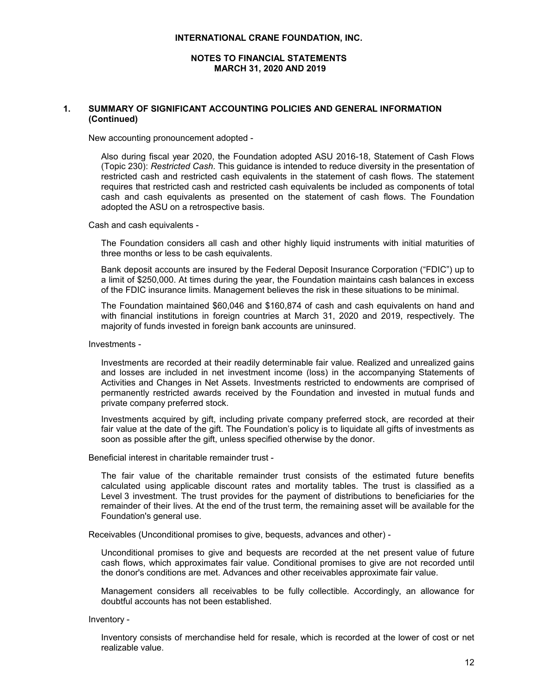## **NOTES TO FINANCIAL STATEMENTS MARCH 31, 2020 AND 2019**

## **1. SUMMARY OF SIGNIFICANT ACCOUNTING POLICIES AND GENERAL INFORMATION (Continued)**

New accounting pronouncement adopted -

Also during fiscal year 2020, the Foundation adopted ASU 2016-18, Statement of Cash Flows (Topic 230): *Restricted Cash*. This guidance is intended to reduce diversity in the presentation of restricted cash and restricted cash equivalents in the statement of cash flows. The statement requires that restricted cash and restricted cash equivalents be included as components of total cash and cash equivalents as presented on the statement of cash flows. The Foundation adopted the ASU on a retrospective basis.

Cash and cash equivalents -

The Foundation considers all cash and other highly liquid instruments with initial maturities of three months or less to be cash equivalents.

Bank deposit accounts are insured by the Federal Deposit Insurance Corporation ("FDIC") up to a limit of \$250,000. At times during the year, the Foundation maintains cash balances in excess of the FDIC insurance limits. Management believes the risk in these situations to be minimal.

The Foundation maintained \$60,046 and \$160,874 of cash and cash equivalents on hand and with financial institutions in foreign countries at March 31, 2020 and 2019, respectively. The majority of funds invested in foreign bank accounts are uninsured.

Investments -

Investments are recorded at their readily determinable fair value. Realized and unrealized gains and losses are included in net investment income (loss) in the accompanying Statements of Activities and Changes in Net Assets. Investments restricted to endowments are comprised of permanently restricted awards received by the Foundation and invested in mutual funds and private company preferred stock.

Investments acquired by gift, including private company preferred stock, are recorded at their fair value at the date of the gift. The Foundation's policy is to liquidate all gifts of investments as soon as possible after the gift, unless specified otherwise by the donor.

Beneficial interest in charitable remainder trust -

The fair value of the charitable remainder trust consists of the estimated future benefits calculated using applicable discount rates and mortality tables. The trust is classified as a Level 3 investment. The trust provides for the payment of distributions to beneficiaries for the remainder of their lives. At the end of the trust term, the remaining asset will be available for the Foundation's general use.

Receivables (Unconditional promises to give, bequests, advances and other) -

Unconditional promises to give and bequests are recorded at the net present value of future cash flows, which approximates fair value. Conditional promises to give are not recorded until the donor's conditions are met. Advances and other receivables approximate fair value.

Management considers all receivables to be fully collectible. Accordingly, an allowance for doubtful accounts has not been established.

Inventory -

Inventory consists of merchandise held for resale, which is recorded at the lower of cost or net realizable value.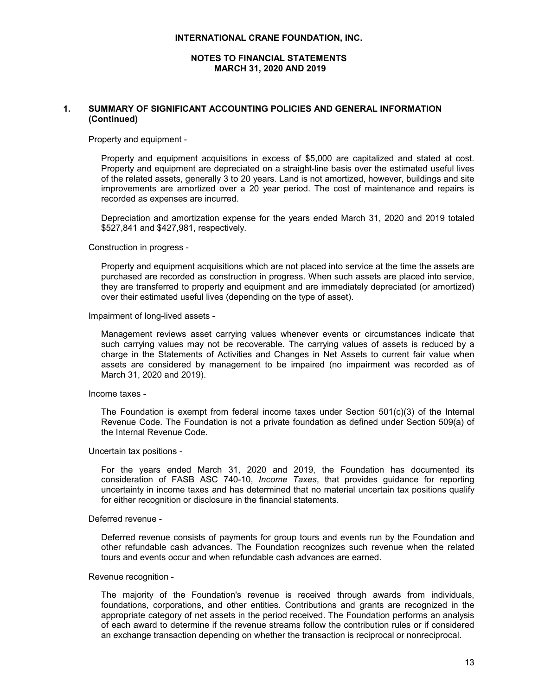#### **NOTES TO FINANCIAL STATEMENTS MARCH 31, 2020 AND 2019**

## **1. SUMMARY OF SIGNIFICANT ACCOUNTING POLICIES AND GENERAL INFORMATION (Continued)**

Property and equipment -

Property and equipment acquisitions in excess of \$5,000 are capitalized and stated at cost. Property and equipment are depreciated on a straight-line basis over the estimated useful lives of the related assets, generally 3 to 20 years. Land is not amortized, however, buildings and site improvements are amortized over a 20 year period. The cost of maintenance and repairs is recorded as expenses are incurred.

Depreciation and amortization expense for the years ended March 31, 2020 and 2019 totaled \$527,841 and \$427,981, respectively.

Construction in progress -

Property and equipment acquisitions which are not placed into service at the time the assets are purchased are recorded as construction in progress. When such assets are placed into service, they are transferred to property and equipment and are immediately depreciated (or amortized) over their estimated useful lives (depending on the type of asset).

Impairment of long-lived assets -

Management reviews asset carrying values whenever events or circumstances indicate that such carrying values may not be recoverable. The carrying values of assets is reduced by a charge in the Statements of Activities and Changes in Net Assets to current fair value when assets are considered by management to be impaired (no impairment was recorded as of March 31, 2020 and 2019).

Income taxes -

The Foundation is exempt from federal income taxes under Section  $501(c)(3)$  of the Internal Revenue Code. The Foundation is not a private foundation as defined under Section 509(a) of the Internal Revenue Code.

Uncertain tax positions -

For the years ended March 31, 2020 and 2019, the Foundation has documented its consideration of FASB ASC 740-10, *Income Taxes*, that provides guidance for reporting uncertainty in income taxes and has determined that no material uncertain tax positions qualify for either recognition or disclosure in the financial statements.

#### Deferred revenue -

Deferred revenue consists of payments for group tours and events run by the Foundation and other refundable cash advances. The Foundation recognizes such revenue when the related tours and events occur and when refundable cash advances are earned.

#### Revenue recognition -

The majority of the Foundation's revenue is received through awards from individuals, foundations, corporations, and other entities. Contributions and grants are recognized in the appropriate category of net assets in the period received. The Foundation performs an analysis of each award to determine if the revenue streams follow the contribution rules or if considered an exchange transaction depending on whether the transaction is reciprocal or nonreciprocal.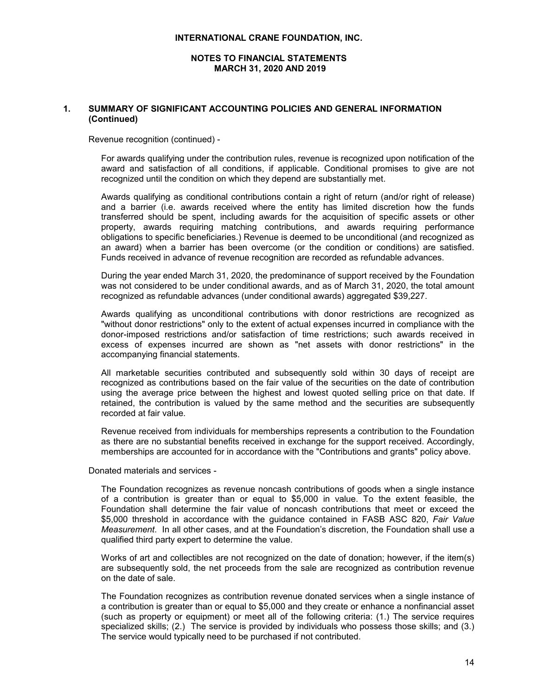## **NOTES TO FINANCIAL STATEMENTS MARCH 31, 2020 AND 2019**

## **1. SUMMARY OF SIGNIFICANT ACCOUNTING POLICIES AND GENERAL INFORMATION (Continued)**

Revenue recognition (continued) -

For awards qualifying under the contribution rules, revenue is recognized upon notification of the award and satisfaction of all conditions, if applicable. Conditional promises to give are not recognized until the condition on which they depend are substantially met.

Awards qualifying as conditional contributions contain a right of return (and/or right of release) and a barrier (i.e. awards received where the entity has limited discretion how the funds transferred should be spent, including awards for the acquisition of specific assets or other property, awards requiring matching contributions, and awards requiring performance obligations to specific beneficiaries.) Revenue is deemed to be unconditional (and recognized as an award) when a barrier has been overcome (or the condition or conditions) are satisfied. Funds received in advance of revenue recognition are recorded as refundable advances.

During the year ended March 31, 2020, the predominance of support received by the Foundation was not considered to be under conditional awards, and as of March 31, 2020, the total amount recognized as refundable advances (under conditional awards) aggregated \$39,227.

Awards qualifying as unconditional contributions with donor restrictions are recognized as "without donor restrictions" only to the extent of actual expenses incurred in compliance with the donor-imposed restrictions and/or satisfaction of time restrictions; such awards received in excess of expenses incurred are shown as "net assets with donor restrictions" in the accompanying financial statements.

All marketable securities contributed and subsequently sold within 30 days of receipt are recognized as contributions based on the fair value of the securities on the date of contribution using the average price between the highest and lowest quoted selling price on that date. If retained, the contribution is valued by the same method and the securities are subsequently recorded at fair value.

Revenue received from individuals for memberships represents a contribution to the Foundation as there are no substantial benefits received in exchange for the support received. Accordingly, memberships are accounted for in accordance with the "Contributions and grants" policy above.

Donated materials and services -

The Foundation recognizes as revenue noncash contributions of goods when a single instance of a contribution is greater than or equal to \$5,000 in value. To the extent feasible, the Foundation shall determine the fair value of noncash contributions that meet or exceed the \$5,000 threshold in accordance with the guidance contained in FASB ASC 820, *Fair Value Measurement*. In all other cases, and at the Foundation's discretion, the Foundation shall use a qualified third party expert to determine the value.

Works of art and collectibles are not recognized on the date of donation; however, if the item(s) are subsequently sold, the net proceeds from the sale are recognized as contribution revenue on the date of sale.

The Foundation recognizes as contribution revenue donated services when a single instance of a contribution is greater than or equal to \$5,000 and they create or enhance a nonfinancial asset (such as property or equipment) or meet all of the following criteria: (1.) The service requires specialized skills; (2.) The service is provided by individuals who possess those skills; and (3.) The service would typically need to be purchased if not contributed.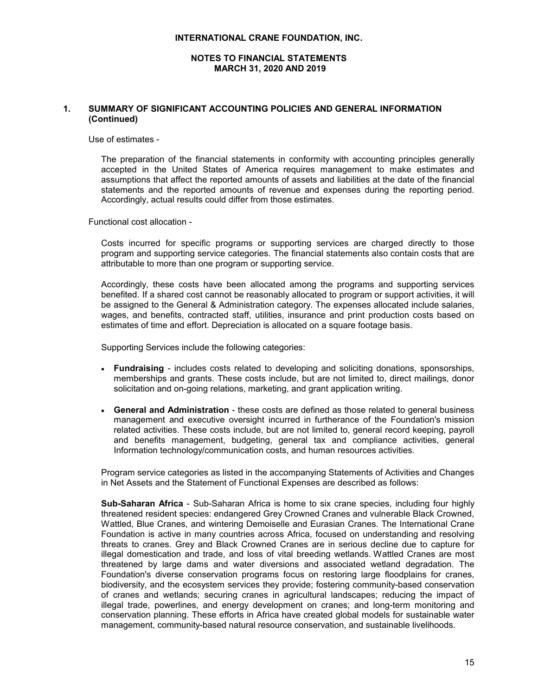## **NOTES TO FINANCIAL STATEMENTS MARCH 31, 2020 AND 2019**

## **1. SUMMARY OF SIGNIFICANT ACCOUNTING POLICIES AND GENERAL INFORMATION (Continued)**

Use of estimates -

The preparation of the financial statements in conformity with accounting principles generally accepted in the United States of America requires management to make estimates and assumptions that affect the reported amounts of assets and liabilities at the date of the financial statements and the reported amounts of revenue and expenses during the reporting period. Accordingly, actual results could differ from those estimates.

Functional cost allocation -

Costs incurred for specific programs or supporting services are charged directly to those program and supporting service categories. The financial statements also contain costs that are attributable to more than one program or supporting service.

Accordingly, these costs have been allocated among the programs and supporting services benefited. If a shared cost cannot be reasonably allocated to program or support activities, it will be assigned to the General & Administration category. The expenses allocated include salaries, wages, and benefits, contracted staff, utilities, insurance and print production costs based on estimates of time and effort. Depreciation is allocated on a square footage basis.

Supporting Services include the following categories:

- **Fundraising** includes costs related to developing and soliciting donations, sponsorships, memberships and grants. These costs include, but are not limited to, direct mailings, donor solicitation and on-going relations, marketing, and grant application writing.
- **General and Administration** these costs are defined as those related to general business management and executive oversight incurred in furtherance of the Foundation's mission related activities. These costs include, but are not limited to, general record keeping, payroll and benefits management, budgeting, general tax and compliance activities, general Information technology/communication costs, and human resources activities.

Program service categories as listed in the accompanying Statements of Activities and Changes in Net Assets and the Statement of Functional Expenses are described as follows:

**Sub-Saharan Africa** - Sub-Saharan Africa is home to six crane species, including four highly threatened resident species: endangered Grey Crowned Cranes and vulnerable Black Crowned, Wattled, Blue Cranes, and wintering Demoiselle and Eurasian Cranes. The International Crane Foundation is active in many countries across Africa, focused on understanding and resolving threats to cranes. Grey and Black Crowned Cranes are in serious decline due to capture for illegal domestication and trade, and loss of vital breeding wetlands. Wattled Cranes are most threatened by large dams and water diversions and associated wetland degradation. The Foundation's diverse conservation programs focus on restoring large floodplains for cranes, biodiversity, and the ecosystem services they provide; fostering community-based conservation of cranes and wetlands; securing cranes in agricultural landscapes; reducing the impact of illegal trade, powerlines, and energy development on cranes; and long-term monitoring and conservation planning. These efforts in Africa have created global models for sustainable water management, community-based natural resource conservation, and sustainable livelihoods.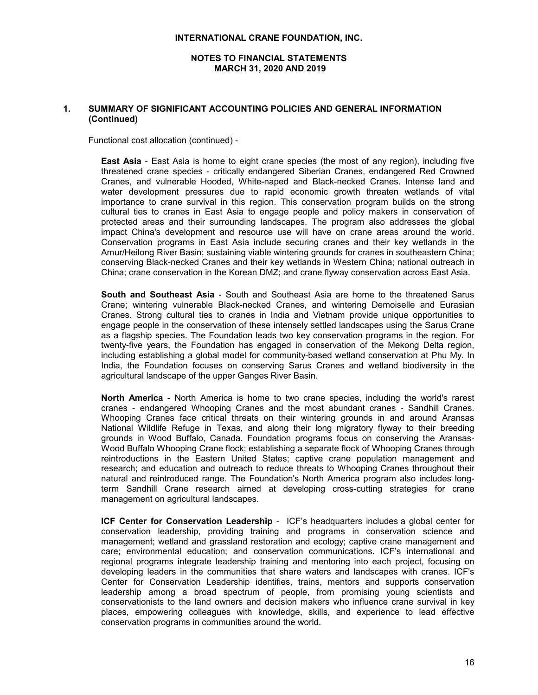## **NOTES TO FINANCIAL STATEMENTS MARCH 31, 2020 AND 2019**

## **1. SUMMARY OF SIGNIFICANT ACCOUNTING POLICIES AND GENERAL INFORMATION (Continued)**

Functional cost allocation (continued) -

**East Asia** - East Asia is home to eight crane species (the most of any region), including five threatened crane species - critically endangered Siberian Cranes, endangered Red Crowned Cranes, and vulnerable Hooded, White-naped and Black-necked Cranes. Intense land and water development pressures due to rapid economic growth threaten wetlands of vital importance to crane survival in this region. This conservation program builds on the strong cultural ties to cranes in East Asia to engage people and policy makers in conservation of protected areas and their surrounding landscapes. The program also addresses the global impact China's development and resource use will have on crane areas around the world. Conservation programs in East Asia include securing cranes and their key wetlands in the Amur/Heilong River Basin; sustaining viable wintering grounds for cranes in southeastern China; conserving Black-necked Cranes and their key wetlands in Western China; national outreach in China; crane conservation in the Korean DMZ; and crane flyway conservation across East Asia.

**South and Southeast Asia** - South and Southeast Asia are home to the threatened Sarus Crane; wintering vulnerable Black-necked Cranes, and wintering Demoiselle and Eurasian Cranes. Strong cultural ties to cranes in India and Vietnam provide unique opportunities to engage people in the conservation of these intensely settled landscapes using the Sarus Crane as a flagship species. The Foundation leads two key conservation programs in the region. For twenty-five years, the Foundation has engaged in conservation of the Mekong Delta region, including establishing a global model for community-based wetland conservation at Phu My. In India, the Foundation focuses on conserving Sarus Cranes and wetland biodiversity in the agricultural landscape of the upper Ganges River Basin.

**North America** - North America is home to two crane species, including the world's rarest cranes - endangered Whooping Cranes and the most abundant cranes - Sandhill Cranes. Whooping Cranes face critical threats on their wintering grounds in and around Aransas National Wildlife Refuge in Texas, and along their long migratory flyway to their breeding grounds in Wood Buffalo, Canada. Foundation programs focus on conserving the Aransas-Wood Buffalo Whooping Crane flock; establishing a separate flock of Whooping Cranes through reintroductions in the Eastern United States; captive crane population management and research; and education and outreach to reduce threats to Whooping Cranes throughout their natural and reintroduced range. The Foundation's North America program also includes longterm Sandhill Crane research aimed at developing cross-cutting strategies for crane management on agricultural landscapes.

**ICF Center for Conservation Leadership** - ICF's headquarters includes a global center for conservation leadership, providing training and programs in conservation science and management; wetland and grassland restoration and ecology; captive crane management and care; environmental education; and conservation communications. ICF's international and regional programs integrate leadership training and mentoring into each project, focusing on developing leaders in the communities that share waters and landscapes with cranes. ICF's Center for Conservation Leadership identifies, trains, mentors and supports conservation leadership among a broad spectrum of people, from promising young scientists and conservationists to the land owners and decision makers who influence crane survival in key places, empowering colleagues with knowledge, skills, and experience to lead effective conservation programs in communities around the world.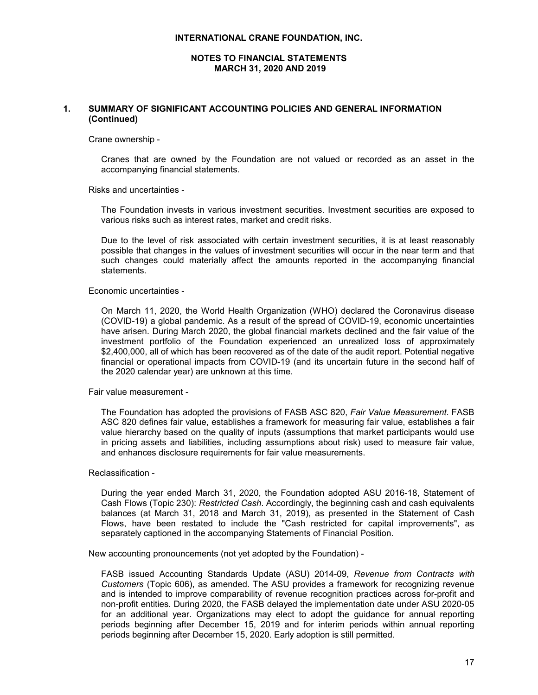## **NOTES TO FINANCIAL STATEMENTS MARCH 31, 2020 AND 2019**

## **1. SUMMARY OF SIGNIFICANT ACCOUNTING POLICIES AND GENERAL INFORMATION (Continued)**

Crane ownership -

Cranes that are owned by the Foundation are not valued or recorded as an asset in the accompanying financial statements.

Risks and uncertainties -

The Foundation invests in various investment securities. Investment securities are exposed to various risks such as interest rates, market and credit risks.

Due to the level of risk associated with certain investment securities, it is at least reasonably possible that changes in the values of investment securities will occur in the near term and that such changes could materially affect the amounts reported in the accompanying financial statements.

Economic uncertainties -

On March 11, 2020, the World Health Organization (WHO) declared the Coronavirus disease (COVID-19) a global pandemic. As a result of the spread of COVID-19, economic uncertainties have arisen. During March 2020, the global financial markets declined and the fair value of the investment portfolio of the Foundation experienced an unrealized loss of approximately \$2,400,000, all of which has been recovered as of the date of the audit report. Potential negative financial or operational impacts from COVID-19 (and its uncertain future in the second half of the 2020 calendar year) are unknown at this time.

Fair value measurement -

The Foundation has adopted the provisions of FASB ASC 820, *Fair Value Measurement*. FASB ASC 820 defines fair value, establishes a framework for measuring fair value, establishes a fair value hierarchy based on the quality of inputs (assumptions that market participants would use in pricing assets and liabilities, including assumptions about risk) used to measure fair value, and enhances disclosure requirements for fair value measurements.

Reclassification -

During the year ended March 31, 2020, the Foundation adopted ASU 2016-18, Statement of Cash Flows (Topic 230): *Restricted Cash*. Accordingly, the beginning cash and cash equivalents balances (at March 31, 2018 and March 31, 2019), as presented in the Statement of Cash Flows, have been restated to include the "Cash restricted for capital improvements", as separately captioned in the accompanying Statements of Financial Position.

New accounting pronouncements (not yet adopted by the Foundation) -

FASB issued Accounting Standards Update (ASU) 2014-09, *Revenue from Contracts with Customers* (Topic 606), as amended. The ASU provides a framework for recognizing revenue and is intended to improve comparability of revenue recognition practices across for-profit and non-profit entities. During 2020, the FASB delayed the implementation date under ASU 2020-05 for an additional year. Organizations may elect to adopt the guidance for annual reporting periods beginning after December 15, 2019 and for interim periods within annual reporting periods beginning after December 15, 2020. Early adoption is still permitted.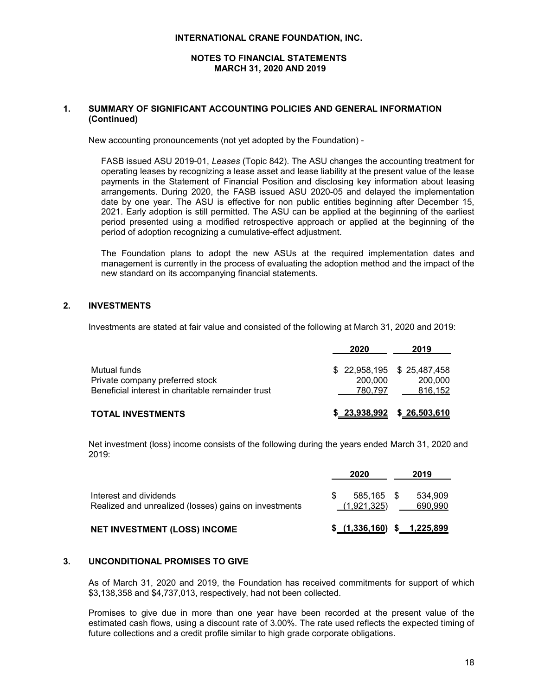## **NOTES TO FINANCIAL STATEMENTS MARCH 31, 2020 AND 2019**

## **1. SUMMARY OF SIGNIFICANT ACCOUNTING POLICIES AND GENERAL INFORMATION (Continued)**

New accounting pronouncements (not yet adopted by the Foundation) -

FASB issued ASU 2019-01, *Leases* (Topic 842). The ASU changes the accounting treatment for operating leases by recognizing a lease asset and lease liability at the present value of the lease payments in the Statement of Financial Position and disclosing key information about leasing arrangements. During 2020, the FASB issued ASU 2020-05 and delayed the implementation date by one year. The ASU is effective for non public entities beginning after December 15, 2021. Early adoption is still permitted. The ASU can be applied at the beginning of the earliest period presented using a modified retrospective approach or applied at the beginning of the period of adoption recognizing a cumulative-effect adjustment.

The Foundation plans to adopt the new ASUs at the required implementation dates and management is currently in the process of evaluating the adoption method and the impact of the new standard on its accompanying financial statements.

## **2. INVESTMENTS**

Investments are stated at fair value and consisted of the following at March 31, 2020 and 2019:

|                                                   | 2020    | 2019                        |
|---------------------------------------------------|---------|-----------------------------|
| Mutual funds                                      |         | $$22,958,195$ $$25,487,458$ |
| Private company preferred stock                   | 200,000 | 200.000                     |
| Beneficial interest in charitable remainder trust | 780.797 | 816,152                     |
| <b>TOTAL INVESTMENTS</b>                          |         | $$23,938,992$ $$26,503,610$ |

Net investment (loss) income consists of the following during the years ended March 31, 2020 and 2019:

|                                                                                 |    | 2020                              | 2019               |
|---------------------------------------------------------------------------------|----|-----------------------------------|--------------------|
| Interest and dividends<br>Realized and unrealized (losses) gains on investments | £. | 585.165 \$<br>(1,921,325)         | 534.909<br>690,990 |
| <b>NET INVESTMENT (LOSS) INCOME</b>                                             |    | $$$ $(1,336,160)$ $$$ $1,225,899$ |                    |

## **3. UNCONDITIONAL PROMISES TO GIVE**

As of March 31, 2020 and 2019, the Foundation has received commitments for support of which \$3,138,358 and \$4,737,013, respectively, had not been collected.

Promises to give due in more than one year have been recorded at the present value of the estimated cash flows, using a discount rate of 3.00%. The rate used reflects the expected timing of future collections and a credit profile similar to high grade corporate obligations.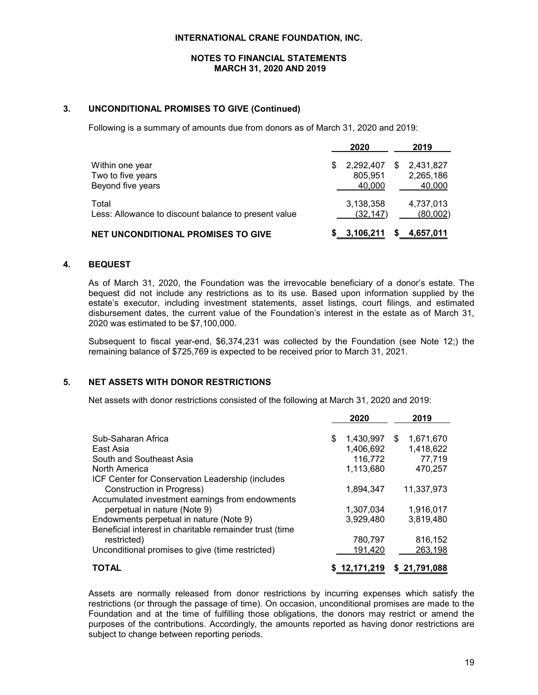## **NOTES TO FINANCIAL STATEMENTS MARCH 31, 2020 AND 2019**

## **3. UNCONDITIONAL PROMISES TO GIVE (Continued)**

Following is a summary of amounts due from donors as of March 31, 2020 and 2019:

|                                                               |   | 2020                           |   | 2019                             |
|---------------------------------------------------------------|---|--------------------------------|---|----------------------------------|
| Within one year<br>Two to five years<br>Beyond five years     | S | 2,292,407<br>805,951<br>40,000 | S | 2,431,827<br>2,265,186<br>40,000 |
| Total<br>Less: Allowance to discount balance to present value |   | 3,138,358<br>(32, 147)         |   | 4,737,013<br>(80,002)            |
| <b>NET UNCONDITIONAL PROMISES TO GIVE</b>                     |   | 3,106,211                      |   | 4,657,011                        |

#### **4. BEQUEST**

As of March 31, 2020, the Foundation was the irrevocable beneficiary of a donor's estate. The bequest did not include any restrictions as to its use. Based upon information supplied by the estate's executor, including investment statements, asset listings, court filings, and estimated disbursement dates, the current value of the Foundation's interest in the estate as of March 31, 2020 was estimated to be \$7,100,000.

Subsequent to fiscal year-end, \$6,374,231 was collected by the Foundation (see Note 12;) the remaining balance of \$725,769 is expected to be received prior to March 31, 2021.

## **5. NET ASSETS WITH DONOR RESTRICTIONS**

Net assets with donor restrictions consisted of the following at March 31, 2020 and 2019:

|                                                         | 2020            |    | 2019       |
|---------------------------------------------------------|-----------------|----|------------|
|                                                         |                 |    |            |
| Sub-Saharan Africa                                      | \$<br>1,430,997 | S. | 1,671,670  |
| East Asia                                               | 1,406,692       |    | 1,418,622  |
| South and Southeast Asia                                | 116,772         |    | 77,719     |
| North America                                           | 1,113,680       |    | 470,257    |
| ICF Center for Conservation Leadership (includes        |                 |    |            |
| Construction in Progress)                               | 1.894.347       |    | 11,337,973 |
| Accumulated investment earnings from endowments         |                 |    |            |
| perpetual in nature (Note 9)                            | 1,307,034       |    | 1,916,017  |
| Endowments perpetual in nature (Note 9)                 | 3.929.480       |    | 3,819,480  |
| Beneficial interest in charitable remainder trust (time |                 |    |            |
| restricted)                                             | 780,797         |    | 816,152    |
| Unconditional promises to give (time restricted)        | 191,420         |    | 263,198    |
| TOTAL                                                   |                 |    | 21.791.088 |

Assets are normally released from donor restrictions by incurring expenses which satisfy the restrictions (or through the passage of time). On occasion, unconditional promises are made to the Foundation and at the time of fulfilling those obligations, the donors may restrict or amend the purposes of the contributions. Accordingly, the amounts reported as having donor restrictions are subject to change between reporting periods.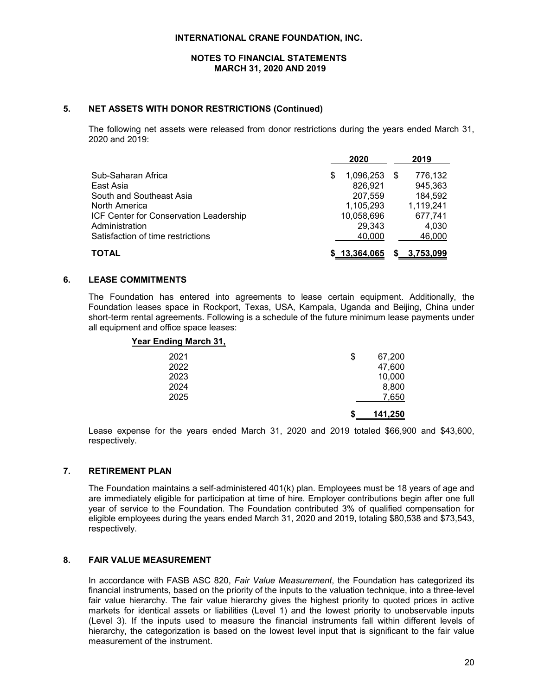#### **NOTES TO FINANCIAL STATEMENTS MARCH 31, 2020 AND 2019**

#### **5. NET ASSETS WITH DONOR RESTRICTIONS (Continued)**

The following net assets were released from donor restrictions during the years ended March 31, 2020 and 2019:

|                                        | 2020           | 2019         |
|----------------------------------------|----------------|--------------|
| Sub-Saharan Africa                     | 1,096,253<br>S | 776,132<br>S |
| East Asia                              | 826,921        | 945,363      |
| South and Southeast Asia               | 207,559        | 184,592      |
| North America                          | 1,105,293      | 1,119,241    |
| ICF Center for Conservation Leadership | 10,058,696     | 677,741      |
| Administration                         | 29,343         | 4,030        |
| Satisfaction of time restrictions      | 40,000         | 46,000       |
| <b>TOTAL</b>                           | \$13,364,065   | 3,753,099    |

#### **6. LEASE COMMITMENTS**

The Foundation has entered into agreements to lease certain equipment. Additionally, the Foundation leases space in Rockport, Texas, USA, Kampala, Uganda and Beijing, China under short-term rental agreements. Following is a schedule of the future minimum lease payments under all equipment and office space leases:

#### **Year Ending March 31,**

| 2021 | \$ | 67,200  |
|------|----|---------|
| 2022 |    | 47,600  |
| 2023 |    | 10,000  |
| 2024 |    | 8,800   |
| 2025 |    | 7,650   |
|      | S  | 141,250 |

Lease expense for the years ended March 31, 2020 and 2019 totaled \$66,900 and \$43,600, respectively.

## **7. RETIREMENT PLAN**

The Foundation maintains a self-administered 401(k) plan. Employees must be 18 years of age and are immediately eligible for participation at time of hire. Employer contributions begin after one full year of service to the Foundation. The Foundation contributed 3% of qualified compensation for eligible employees during the years ended March 31, 2020 and 2019, totaling \$80,538 and \$73,543, respectively.

## **8. FAIR VALUE MEASUREMENT**

In accordance with FASB ASC 820, *Fair Value Measurement*, the Foundation has categorized its financial instruments, based on the priority of the inputs to the valuation technique, into a three-level fair value hierarchy. The fair value hierarchy gives the highest priority to quoted prices in active markets for identical assets or liabilities (Level 1) and the lowest priority to unobservable inputs (Level 3). If the inputs used to measure the financial instruments fall within different levels of hierarchy, the categorization is based on the lowest level input that is significant to the fair value measurement of the instrument.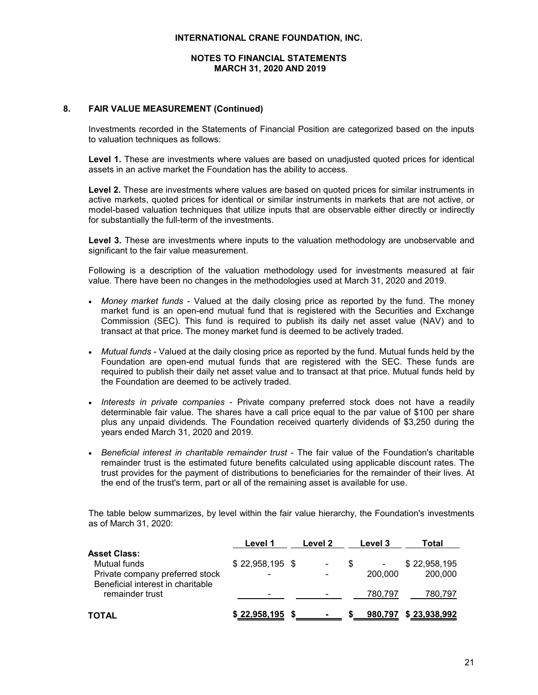## **NOTES TO FINANCIAL STATEMENTS MARCH 31, 2020 AND 2019**

## **8. FAIR VALUE MEASUREMENT (Continued)**

Investments recorded in the Statements of Financial Position are categorized based on the inputs to valuation techniques as follows:

**Level 1.** These are investments where values are based on unadjusted quoted prices for identical assets in an active market the Foundation has the ability to access.

**Level 2.** These are investments where values are based on quoted prices for similar instruments in active markets, quoted prices for identical or similar instruments in markets that are not active, or model-based valuation techniques that utilize inputs that are observable either directly or indirectly for substantially the full-term of the investments.

Level 3. These are investments where inputs to the valuation methodology are unobservable and significant to the fair value measurement.

Following is a description of the valuation methodology used for investments measured at fair value. There have been no changes in the methodologies used at March 31, 2020 and 2019.

- *Money market funds* Valued at the daily closing price as reported by the fund. The money market fund is an open-end mutual fund that is registered with the Securities and Exchange Commission (SEC). This fund is required to publish its daily net asset value (NAV) and to transact at that price. The money market fund is deemed to be actively traded.
- *Mutual funds* Valued at the daily closing price as reported by the fund. Mutual funds held by the Foundation are open-end mutual funds that are registered with the SEC. These funds are required to publish their daily net asset value and to transact at that price. Mutual funds held by the Foundation are deemed to be actively traded.
- *Interests in private companies* Private company preferred stock does not have a readily determinable fair value. The shares have a call price equal to the par value of \$100 per share plus any unpaid dividends. The Foundation received quarterly dividends of \$3,250 during the years ended March 31, 2020 and 2019.
- *Beneficial interest in charitable remainder trust* The fair value of the Foundation's charitable remainder trust is the estimated future benefits calculated using applicable discount rates. The trust provides for the payment of distributions to beneficiaries for the remainder of their lives. At the end of the trust's term, part or all of the remaining asset is available for use.

The table below summarizes, by level within the fair value hierarchy, the Foundation's investments as of March 31, 2020:

|                                                                                                             | Level 1                                      | Level 2 | Level 3 |              | Total                   |
|-------------------------------------------------------------------------------------------------------------|----------------------------------------------|---------|---------|--------------|-------------------------|
| <b>Asset Class:</b><br>Mutual funds<br>Private company preferred stock<br>Beneficial interest in charitable | $$22,958,195$ \$<br>$\overline{\phantom{0}}$ |         |         | ۰<br>200,000 | \$22,958,195<br>200,000 |
| remainder trust                                                                                             | $\overline{\phantom{0}}$                     |         |         | 780.797      | 780.797                 |
| TOTAL                                                                                                       | \$22,958,195                                 |         |         | 980,797      | \$23,938,992            |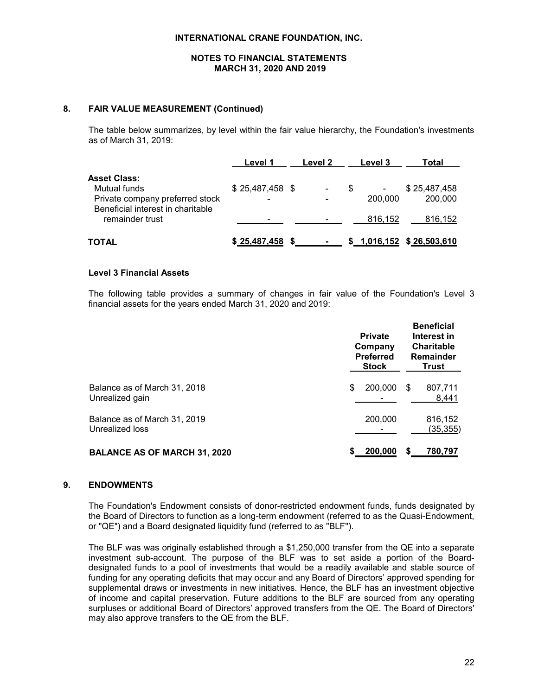## **NOTES TO FINANCIAL STATEMENTS MARCH 31, 2020 AND 2019**

## **8. FAIR VALUE MEASUREMENT (Continued)**

The table below summarizes, by level within the fair value hierarchy, the Foundation's investments as of March 31, 2019:

|                                                                                                             | <b>Level 1</b>        | Level 2 | Level 3                   | Total                      |
|-------------------------------------------------------------------------------------------------------------|-----------------------|---------|---------------------------|----------------------------|
| <b>Asset Class:</b><br>Mutual funds<br>Private company preferred stock<br>Beneficial interest in charitable | $$25,487,458$ \$<br>- |         | $\blacksquare$<br>200,000 | \$25,487,458<br>200,000    |
| remainder trust                                                                                             |                       |         | 816,152                   | 816.152                    |
| TOTAL                                                                                                       | \$25,487,458          |         |                           | \$ 1,016,152 \$ 26,503,610 |

#### **Level 3 Financial Assets**

The following table provides a summary of changes in fair value of the Foundation's Level 3 financial assets for the years ended March 31, 2020 and 2019:

|                                                 | <b>Private</b><br>Company<br><b>Preferred</b><br><b>Stock</b> |    | <b>Beneficial</b><br>Interest in<br><b>Charitable</b><br>Remainder<br><b>Trust</b> |
|-------------------------------------------------|---------------------------------------------------------------|----|------------------------------------------------------------------------------------|
| Balance as of March 31, 2018<br>Unrealized gain | \$<br>200,000                                                 | S  | 807,711<br>8,441                                                                   |
| Balance as of March 31, 2019<br>Unrealized loss | 200,000                                                       |    | 816,152<br>(35, 355)                                                               |
| <b>BALANCE AS OF MARCH 31, 2020</b>             | 200,000                                                       | S. | 780.797                                                                            |

## **9. ENDOWMENTS**

The Foundation's Endowment consists of donor-restricted endowment funds, funds designated by the Board of Directors to function as a long-term endowment (referred to as the Quasi-Endowment, or "QE") and a Board designated liquidity fund (referred to as "BLF").

The BLF was was originally established through a \$1,250,000 transfer from the QE into a separate investment sub-account. The purpose of the BLF was to set aside a portion of the Boarddesignated funds to a pool of investments that would be a readily available and stable source of funding for any operating deficits that may occur and any Board of Directors' approved spending for supplemental draws or investments in new initiatives. Hence, the BLF has an investment objective of income and capital preservation. Future additions to the BLF are sourced from any operating surpluses or additional Board of Directors' approved transfers from the QE. The Board of Directors' may also approve transfers to the QE from the BLF.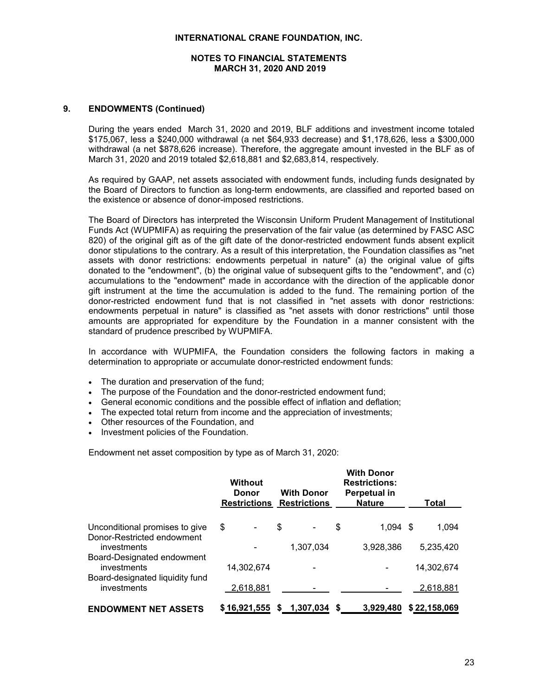## **NOTES TO FINANCIAL STATEMENTS MARCH 31, 2020 AND 2019**

## **9. ENDOWMENTS (Continued)**

During the years ended March 31, 2020 and 2019, BLF additions and investment income totaled \$175,067, less a \$240,000 withdrawal (a net \$64,933 decrease) and \$1,178,626, less a \$300,000 withdrawal (a net \$878,626 increase). Therefore, the aggregate amount invested in the BLF as of March 31, 2020 and 2019 totaled \$2,618,881 and \$2,683,814, respectively.

As required by GAAP, net assets associated with endowment funds, including funds designated by the Board of Directors to function as long-term endowments, are classified and reported based on the existence or absence of donor-imposed restrictions.

The Board of Directors has interpreted the Wisconsin Uniform Prudent Management of Institutional Funds Act (WUPMIFA) as requiring the preservation of the fair value (as determined by FASC ASC 820) of the original gift as of the gift date of the donor-restricted endowment funds absent explicit donor stipulations to the contrary. As a result of this interpretation, the Foundation classifies as "net assets with donor restrictions: endowments perpetual in nature" (a) the original value of gifts donated to the "endowment", (b) the original value of subsequent gifts to the "endowment", and (c) accumulations to the "endowment" made in accordance with the direction of the applicable donor gift instrument at the time the accumulation is added to the fund. The remaining portion of the donor-restricted endowment fund that is not classified in "net assets with donor restrictions: endowments perpetual in nature" is classified as "net assets with donor restrictions" until those amounts are appropriated for expenditure by the Foundation in a manner consistent with the standard of prudence prescribed by WUPMIFA.

In accordance with WUPMIFA, the Foundation considers the following factors in making a determination to appropriate or accumulate donor-restricted endowment funds:

- The duration and preservation of the fund;
- The purpose of the Foundation and the donor-restricted endowment fund;
- General economic conditions and the possible effect of inflation and deflation;
- The expected total return from income and the appreciation of investments;
- Other resources of the Foundation, and
- Investment policies of the Foundation.

Endowment net asset composition by type as of March 31, 2020:

|                                                              | <b>Without</b><br>Donor<br><b>Restrictions</b> | <b>With Donor</b><br><b>Restrictions</b> | <b>With Donor</b><br><b>Restrictions:</b><br><b>Perpetual in</b><br><b>Nature</b> | <b>Total</b> |
|--------------------------------------------------------------|------------------------------------------------|------------------------------------------|-----------------------------------------------------------------------------------|--------------|
| Unconditional promises to give<br>Donor-Restricted endowment | \$                                             | \$<br>$\overline{\phantom{a}}$           | \$<br>$1.094$ \$                                                                  | 1.094        |
| investments<br>Board-Designated endowment                    |                                                | 1,307,034                                | 3,928,386                                                                         | 5,235,420    |
| investments<br>Board-designated liquidity fund               | 14,302,674                                     |                                          |                                                                                   | 14,302,674   |
| investments                                                  | 2,618,881                                      |                                          |                                                                                   | 2,618,881    |
| <b>ENDOWMENT NET ASSETS</b>                                  | \$16,921,555                                   | 1.307.034<br>S.                          | S<br>3.929.480                                                                    | \$22,158,069 |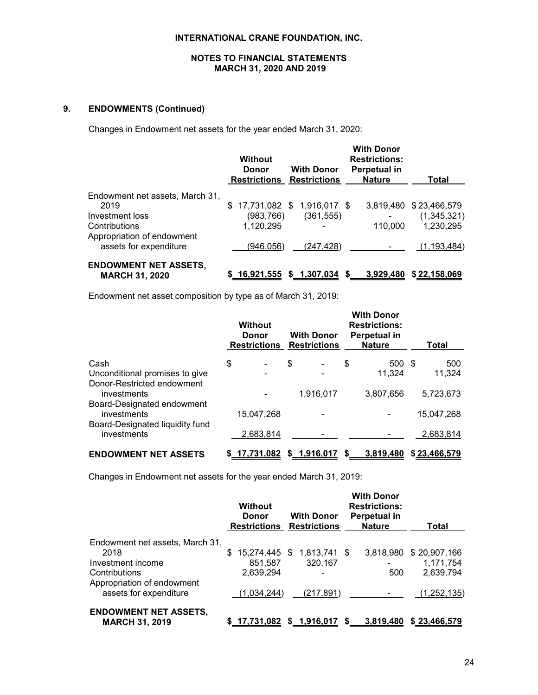## **NOTES TO FINANCIAL STATEMENTS MARCH 31, 2020 AND 2019**

# **9. ENDOWMENTS (Continued)**

Changes in Endowment net assets for the year ended March 31, 2020:

|                                                       | Without<br><b>Donor</b><br><b>Restrictions</b> | <b>With Donor</b><br><b>Restrictions</b> | <b>With Donor</b><br><b>Restrictions:</b><br>Perpetual in<br><b>Nature</b> | Total         |
|-------------------------------------------------------|------------------------------------------------|------------------------------------------|----------------------------------------------------------------------------|---------------|
| Endowment net assets, March 31,                       |                                                |                                          |                                                                            |               |
| 2019                                                  | \$                                             | 17,731,082 \$ 1,916,017 \$               | 3,819,480                                                                  | \$23,466,579  |
| Investment loss                                       | (983, 766)                                     | (361, 555)                               |                                                                            | (1,345,321)   |
| Contributions                                         | 1,120,295                                      |                                          | 110,000                                                                    | 1,230,295     |
| Appropriation of endowment                            |                                                |                                          |                                                                            |               |
| assets for expenditure                                | (946, 056)                                     | (247,428)                                |                                                                            | (1, 193, 484) |
| <b>ENDOWMENT NET ASSETS,</b><br><b>MARCH 31, 2020</b> | \$16.921.555                                   | \$1,307,034                              | 3.929.480                                                                  | \$22,158,069  |

Endowment net asset composition by type as of March 31, 2019:

|                                                | <b>Without</b><br>Donor<br><b>Restrictions</b> | <b>With Donor</b><br><b>Restrictions</b> |    | <b>With Donor</b><br><b>Restrictions:</b><br>Perpetual in<br><b>Nature</b> |      | Total        |
|------------------------------------------------|------------------------------------------------|------------------------------------------|----|----------------------------------------------------------------------------|------|--------------|
| Cash                                           | \$<br>$\blacksquare$                           | \$                                       | \$ | 500                                                                        | - \$ | 500          |
| Unconditional promises to give                 |                                                |                                          |    | 11,324                                                                     |      | 11,324       |
| Donor-Restricted endowment<br>investments      |                                                | 1.916.017                                |    | 3.807.656                                                                  |      | 5,723,673    |
| Board-Designated endowment<br>investments      | 15.047.268                                     |                                          |    |                                                                            |      | 15.047.268   |
| Board-Designated liquidity fund<br>investments | 2,683,814                                      |                                          |    |                                                                            |      | 2,683,814    |
| <b>ENDOWMENT NET ASSETS</b>                    | \$17,731,082                                   | \$1,916,017                              | S  | 3.819.480                                                                  |      | \$23,466,579 |

Changes in Endowment net assets for the year ended March 31, 2019:

|                                 | <b>Without</b><br>Donor<br><b>Restrictions Restrictions</b> | <b>With Donor</b>          | <b>With Donor</b><br><b>Restrictions:</b><br>Perpetual in<br><b>Nature</b> | Total        |
|---------------------------------|-------------------------------------------------------------|----------------------------|----------------------------------------------------------------------------|--------------|
| Endowment net assets, March 31, |                                                             |                            |                                                                            |              |
| 2018                            | \$.                                                         | 15,274,445 \$ 1,813,741 \$ | 3.818.980                                                                  | \$20,907,166 |
| Investment income               | 851,587                                                     | 320,167                    |                                                                            | 1,171,754    |
| Contributions                   | 2,639,294                                                   |                            | 500                                                                        | 2,639,794    |
| Appropriation of endowment      |                                                             |                            |                                                                            |              |
| assets for expenditure          | (1,034,244)                                                 | (217, 891)                 |                                                                            | (1,252,135)  |
| <b>ENDOWMENT NET ASSETS,</b>    |                                                             |                            |                                                                            |              |
| <b>MARCH 31, 2019</b>           | 17,731,082                                                  | \$ 1,916,017               | 3,819,480<br>S.                                                            | \$23,466,579 |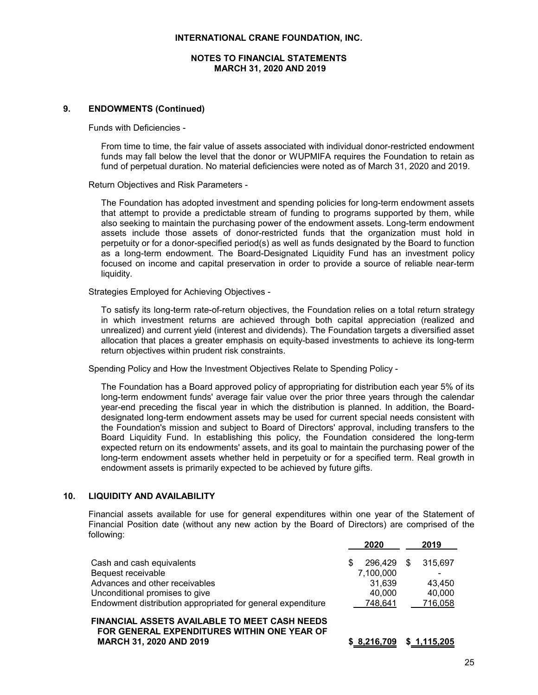## **NOTES TO FINANCIAL STATEMENTS MARCH 31, 2020 AND 2019**

## **9. ENDOWMENTS (Continued)**

Funds with Deficiencies -

From time to time, the fair value of assets associated with individual donor-restricted endowment funds may fall below the level that the donor or WUPMIFA requires the Foundation to retain as fund of perpetual duration. No material deficiencies were noted as of March 31, 2020 and 2019.

Return Objectives and Risk Parameters -

The Foundation has adopted investment and spending policies for long-term endowment assets that attempt to provide a predictable stream of funding to programs supported by them, while also seeking to maintain the purchasing power of the endowment assets. Long-term endowment assets include those assets of donor-restricted funds that the organization must hold in perpetuity or for a donor-specified period(s) as well as funds designated by the Board to function as a long-term endowment. The Board-Designated Liquidity Fund has an investment policy focused on income and capital preservation in order to provide a source of reliable near-term liquidity.

Strategies Employed for Achieving Objectives -

To satisfy its long-term rate-of-return objectives, the Foundation relies on a total return strategy in which investment returns are achieved through both capital appreciation (realized and unrealized) and current yield (interest and dividends). The Foundation targets a diversified asset allocation that places a greater emphasis on equity-based investments to achieve its long-term return objectives within prudent risk constraints.

Spending Policy and How the Investment Objectives Relate to Spending Policy -

The Foundation has a Board approved policy of appropriating for distribution each year 5% of its long-term endowment funds' average fair value over the prior three years through the calendar year-end preceding the fiscal year in which the distribution is planned. In addition, the Boarddesignated long-term endowment assets may be used for current special needs consistent with the Foundation's mission and subject to Board of Directors' approval, including transfers to the Board Liquidity Fund. In establishing this policy, the Foundation considered the long-term expected return on its endowments' assets, and its goal to maintain the purchasing power of the long-term endowment assets whether held in perpetuity or for a specified term. Real growth in endowment assets is primarily expected to be achieved by future gifts.

#### **10. LIQUIDITY AND AVAILABILITY**

Financial assets available for use for general expenditures within one year of the Statement of Financial Position date (without any new action by the Board of Directors) are comprised of the following:

|                                                             | 2020              | 2019    |
|-------------------------------------------------------------|-------------------|---------|
| Cash and cash equivalents                                   | 296.429 \$<br>\$. | 315,697 |
| Bequest receivable                                          | 7,100,000         | -       |
| Advances and other receivables                              | 31.639            | 43.450  |
| Unconditional promises to give                              | 40,000            | 40,000  |
| Endowment distribution appropriated for general expenditure | 748.641           | 716,058 |
| FINANCIAL ASSETS AVAILARLE TO MEET CASH NEEDS               |                   |         |

**FINANCIAL ASSETS AVAILABLE TO MEET CASH NEEDS FOR GENERAL EXPENDITURES WITHIN ONE YEAR OF MARCH 31, 2020 AND 2019 \$ 8,216,709 \$ 1,115,205**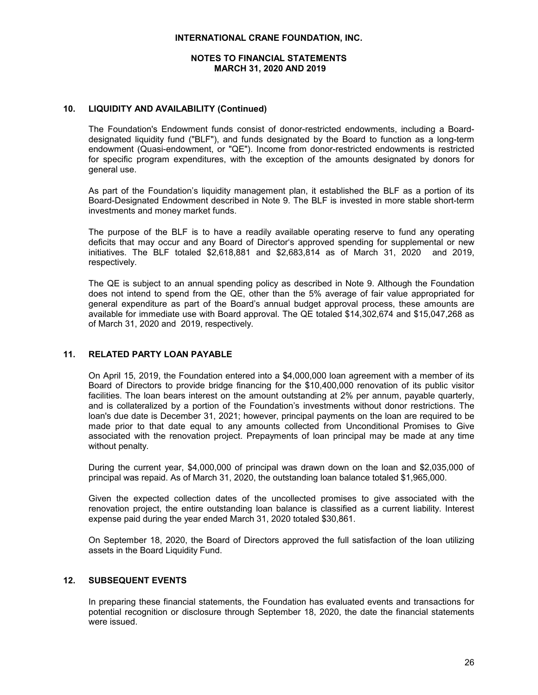## **NOTES TO FINANCIAL STATEMENTS MARCH 31, 2020 AND 2019**

## **10. LIQUIDITY AND AVAILABILITY (Continued)**

The Foundation's Endowment funds consist of donor-restricted endowments, including a Boarddesignated liquidity fund ("BLF"), and funds designated by the Board to function as a long-term endowment (Quasi-endowment, or "QE"). Income from donor-restricted endowments is restricted for specific program expenditures, with the exception of the amounts designated by donors for general use.

As part of the Foundation's liquidity management plan, it established the BLF as a portion of its Board-Designated Endowment described in Note 9. The BLF is invested in more stable short-term investments and money market funds.

The purpose of the BLF is to have a readily available operating reserve to fund any operating deficits that may occur and any Board of Director's approved spending for supplemental or new initiatives. The BLF totaled \$2,618,881 and \$2,683,814 as of March 31, 2020 and 2019, respectively.

The QE is subject to an annual spending policy as described in Note 9. Although the Foundation does not intend to spend from the QE, other than the 5% average of fair value appropriated for general expenditure as part of the Board's annual budget approval process, these amounts are available for immediate use with Board approval. The QE totaled \$14,302,674 and \$15,047,268 as of March 31, 2020 and 2019, respectively.

## **11. RELATED PARTY LOAN PAYABLE**

On April 15, 2019, the Foundation entered into a \$4,000,000 loan agreement with a member of its Board of Directors to provide bridge financing for the \$10,400,000 renovation of its public visitor facilities. The loan bears interest on the amount outstanding at 2% per annum, payable quarterly, and is collateralized by a portion of the Foundation's investments without donor restrictions. The loan's due date is December 31, 2021; however, principal payments on the loan are required to be made prior to that date equal to any amounts collected from Unconditional Promises to Give associated with the renovation project. Prepayments of loan principal may be made at any time without penalty.

During the current year, \$4,000,000 of principal was drawn down on the loan and \$2,035,000 of principal was repaid. As of March 31, 2020, the outstanding loan balance totaled \$1,965,000.

Given the expected collection dates of the uncollected promises to give associated with the renovation project, the entire outstanding loan balance is classified as a current liability. Interest expense paid during the year ended March 31, 2020 totaled \$30,861.

On September 18, 2020, the Board of Directors approved the full satisfaction of the loan utilizing assets in the Board Liquidity Fund.

## **12. SUBSEQUENT EVENTS**

In preparing these financial statements, the Foundation has evaluated events and transactions for potential recognition or disclosure through September 18, 2020, the date the financial statements were issued.